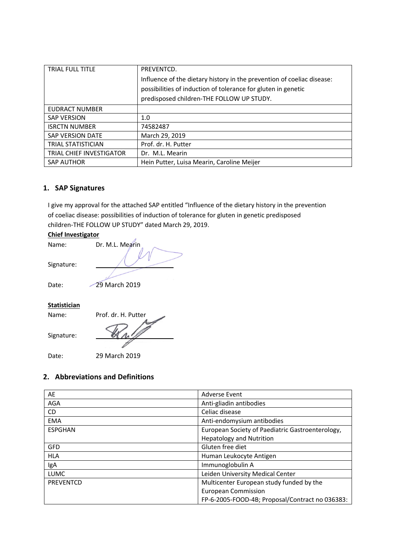| <b>TRIAL FULL TITLE</b>         | PREVENTCD.                                                             |
|---------------------------------|------------------------------------------------------------------------|
|                                 | Influence of the dietary history in the prevention of coeliac disease: |
|                                 | possibilities of induction of tolerance for gluten in genetic          |
|                                 | predisposed children-THE FOLLOW UP STUDY.                              |
| EUDRACT NUMBER                  |                                                                        |
| <b>SAP VERSION</b>              | 1.0                                                                    |
| <b>ISRCTN NUMBER</b>            | 74582487                                                               |
| <b>SAP VERSION DATE</b>         | March 29, 2019                                                         |
| <b>TRIAL STATISTICIAN</b>       | Prof. dr. H. Putter                                                    |
| <b>TRIAL CHIEF INVESTIGATOR</b> | Dr. M.L. Mearin                                                        |
| <b>SAP AUTHOR</b>               | Hein Putter, Luisa Mearin, Caroline Meijer                             |

# **1. SAP Signatures**

I give my approval for the attached SAP entitled "Influence of the dietary history in the prevention of coeliac disease: possibilities of induction of tolerance for gluten in genetic predisposed children-THE FOLLOW UP STUDY" dated March 29, 2019.

### **Chief Investigator**

| Name:        | Dr. M.L. Mearin     |
|--------------|---------------------|
| Signature:   |                     |
| Date:        | 29 March 2019       |
| Statistician |                     |
| Name:        | Prof. dr. H. Putter |
| Signature:   |                     |

J.

Date: 29 March 2019

# **2. Abbreviations and Definitions**

| AE             | <b>Adverse Event</b>                             |
|----------------|--------------------------------------------------|
| <b>AGA</b>     | Anti-gliadin antibodies                          |
| CD.            | Celiac disease                                   |
| <b>EMA</b>     | Anti-endomysium antibodies                       |
| <b>ESPGHAN</b> | European Society of Paediatric Gastroenterology, |
|                | <b>Hepatology and Nutrition</b>                  |
| <b>GFD</b>     | Gluten free diet                                 |
| <b>HLA</b>     | Human Leukocyte Antigen                          |
| IgA            | Immunoglobulin A                                 |
| <b>LUMC</b>    | Leiden University Medical Center                 |
| PREVENTCD      | Multicenter European study funded by the         |
|                | <b>European Commission</b>                       |
|                | FP-6-2005-FOOD-4B; Proposal/Contract no 036383:  |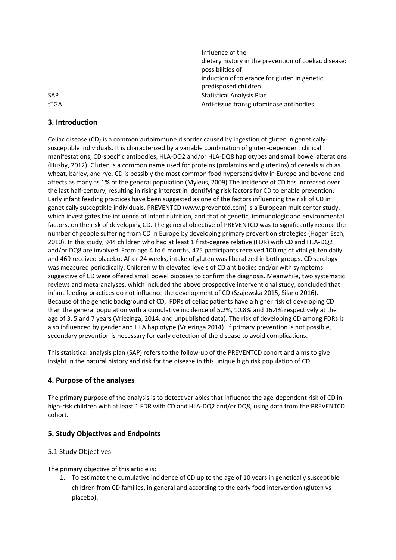|            | Influence of the                                      |
|------------|-------------------------------------------------------|
|            | dietary history in the prevention of coeliac disease: |
|            | possibilities of                                      |
|            | induction of tolerance for gluten in genetic          |
|            | predisposed children                                  |
| <b>SAP</b> | <b>Statistical Analysis Plan</b>                      |
| tTGA       | Anti-tissue transglutaminase antibodies               |

# **3. Introduction**

Celiac disease (CD) is a common autoimmune disorder caused by ingestion of gluten in geneticallysusceptible individuals. It is characterized by a variable combination of gluten-dependent clinical manifestations, CD-specific antibodies, HLA-DQ2 and/or HLA-DQ8 haplotypes and small bowel alterations (Husby, 2012). Gluten is a common name used for proteins (prolamins and glutenins) of cereals such as wheat, barley, and rye. CD is possibly the most common food hypersensitivity in Europe and beyond and affects as many as 1% of the general population (Myleus, 2009).The incidence of CD has increased over the last half-century, resulting in rising interest in identifying risk factors for CD to enable prevention. Early infant feeding practices have been suggested as one of the factors influencing the risk of CD in genetically susceptible individuals. PREVENTCD (www.preventcd.com) is a European multicenter study, which investigates the influence of infant nutrition, and that of genetic, immunologic and environmental factors, on the risk of developing CD. The general objective of PREVENTCD was to significantly reduce the number of people suffering from CD in Europe by developing primary prevention strategies (Hogen Esch, 2010). In this study, 944 children who had at least 1 first-degree relative (FDR) with CD and HLA-DQ2 and/or DQ8 are involved. From age 4 to 6 months, 475 participants received 100 mg of vital gluten daily and 469 received placebo. After 24 weeks, intake of gluten was liberalized in both groups. CD serology was measured periodically. Children with elevated levels of CD antibodies and/or with symptoms suggestive of CD were offered small bowel biopsies to confirm the diagnosis. Meanwhile, two systematic reviews and meta-analyses, which included the above prospective interventional study, concluded that infant feeding practices do not influence the development of CD (Szajewska 2015, Silano 2016). Because of the genetic background of CD, FDRs of celiac patients have a higher risk of developing CD than the general population with a cumulative incidence of 5,2%, 10.8% and 16.4% respectively at the age of 3, 5 and 7 years (Vriezinga, 2014, and unpublished data). The risk of developing CD among FDRs is also influenced by gender and HLA haplotype (Vriezinga 2014). If primary prevention is not possible, secondary prevention is necessary for early detection of the disease to avoid complications.

This statistical analysis plan (SAP) refers to the follow-up of the PREVENTCD cohort and aims to give insight in the natural history and risk for the disease in this unique high risk population of CD.

## **4. Purpose of the analyses**

The primary purpose of the analysis is to detect variables that influence the age-dependent risk of CD in high-risk children with at least 1 FDR with CD and HLA-DQ2 and/or DQ8, using data from the PREVENTCD cohort.

# **5. Study Objectives and Endpoints**

## 5.1 Study Objectives

The primary objective of this article is:

1. To estimate the cumulative incidence of CD up to the age of 10 years in genetically susceptible children from CD families, in general and according to the early food intervention (gluten vs placebo).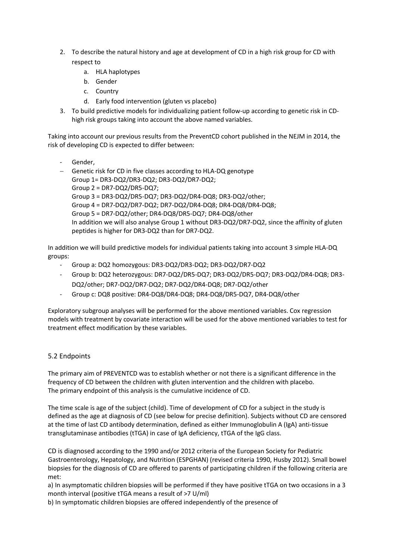- 2. To describe the natural history and age at development of CD in a high risk group for CD with respect to
	- a. HLA haplotypes
	- b. Gender
	- c. Country
	- d. Early food intervention (gluten vs placebo)
- 3. To build predictive models for individualizing patient follow-up according to genetic risk in CDhigh risk groups taking into account the above named variables.

Taking into account our previous results from the PreventCD cohort published in the NEJM in 2014, the risk of developing CD is expected to differ between:

- Gender,
- − Genetic risk for CD in five classes according to HLA-DQ genotype Group 1= DR3-DQ2/DR3-DQ2; DR3-DQ2/DR7-DQ2; Group 2 = DR7-DQ2/DR5-DQ7; Group 3 = DR3-DQ2/DR5-DQ7; DR3-DQ2/DR4-DQ8; DR3-DQ2/other; Group 4 = DR7-DQ2/DR7-DQ2; DR7-DQ2/DR4-DQ8; DR4-DQ8/DR4-DQ8; Group 5 = DR7-DQ2/other; DR4-DQ8/DR5-DQ7; DR4-DQ8/other In addition we will also analyse Group 1 without DR3-DQ2/DR7-DQ2, since the affinity of gluten peptides is higher for DR3-DQ2 than for DR7-DQ2.

In addition we will build predictive models for individual patients taking into account 3 simple HLA-DQ groups:

- Group a: DQ2 homozygous: DR3-DQ2/DR3-DQ2; DR3-DQ2/DR7-DQ2
- Group b: DQ2 heterozygous: DR7-DQ2/DR5-DQ7; DR3-DQ2/DR5-DQ7; DR3-DQ2/DR4-DQ8; DR3- DQ2/other; DR7-DQ2/DR7-DQ2; DR7-DQ2/DR4-DQ8; DR7-DQ2/other
- Group c: DQ8 positive: DR4-DQ8/DR4-DQ8; DR4-DQ8/DR5-DQ7, DR4-DQ8/other

Exploratory subgroup analyses will be performed for the above mentioned variables. Cox regression models with treatment by covariate interaction will be used for the above mentioned variables to test for treatment effect modification by these variables.

### 5.2 Endpoints

The primary aim of PREVENTCD was to establish whether or not there is a significant difference in the frequency of CD between the children with gluten intervention and the children with placebo. The primary endpoint of this analysis is the cumulative incidence of CD.

The time scale is age of the subject (child). Time of development of CD for a subject in the study is defined as the age at diagnosis of CD (see below for precise definition). Subjects without CD are censored at the time of last CD antibody determination, defined as either Immunoglobulin A (IgA) anti-tissue transglutaminase antibodies (tTGA) in case of IgA deficiency, tTGA of the IgG class.

CD is diagnosed according to the 1990 and/or 2012 criteria of the European Society for Pediatric Gastroenterology, Hepatology, and Nutrition (ESPGHAN) (revised criteria 1990, Husby 2012). Small bowel biopsies for the diagnosis of CD are offered to parents of participating children if the following criteria are met:

a) In asymptomatic children biopsies will be performed if they have positive tTGA on two occasions in a 3 month interval (positive tTGA means a result of >7 U/ml)

b) In symptomatic children biopsies are offered independently of the presence of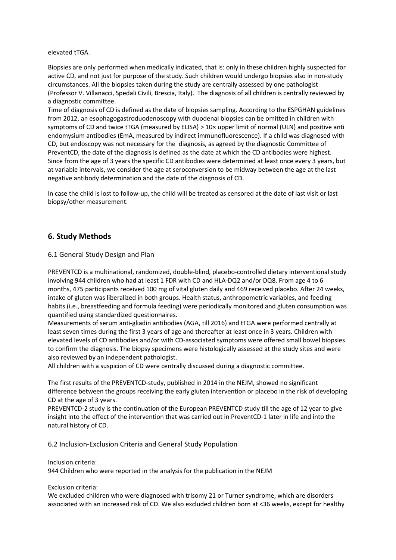elevated tTGA.

Biopsies are only performed when medically indicated, that is: only in these children highly suspected for active CD, and not just for purpose of the study. Such children would undergo biopsies also in non-study circumstances. All the biopsies taken during the study are centrally assessed by one pathologist (Professor V. Villanacci, Spedali Civili, Brescia, Italy). The diagnosis of all children is centrally reviewed by a diagnostic committee.

Time of diagnosis of CD is defined as the date of biopsies sampling. According to the ESPGHAN guidelines from 2012, an esophagogastroduodenoscopy with duodenal biopsies can be omitted in children with symptoms of CD and twice tTGA (measured by ELISA) > 10× upper limit of normal (ULN) and positive anti endomysium antibodies (EmA, measured by indirect immunofluorescence). If a child was diagnosed with CD, but endoscopy was not necessary for the diagnosis, as agreed by the diagnostic Committee of PreventCD, the date of the diagnosis is defined as the date at which the CD antibodies were highest. Since from the age of 3 years the specific CD antibodies were determined at least once every 3 years, but at variable intervals, we consider the age at seroconversion to be midway between the age at the last negative antibody determination and the date of the diagnosis of CD.

In case the child is lost to follow-up, the child will be treated as censored at the date of last visit or last biopsy/other measurement.

## **6. Study Methods**

#### 6.1 General Study Design and Plan

PREVENTCD is a multinational, randomized, double-blind, placebo-controlled dietary interventional study involving 944 children who had at least 1 FDR with CD and HLA-DQ2 and/or DQ8. From age 4 to 6 months, 475 participants received 100 mg of vital gluten daily and 469 received placebo. After 24 weeks, intake of gluten was liberalized in both groups. Health status, anthropometric variables, and feeding habits (i.e., breastfeeding and formula feeding) were periodically monitored and gluten consumption was quantified using standardized questionnaires.

Measurements of serum anti-gliadin antibodies (AGA, till 2016) and tTGA were performed centrally at least seven times during the first 3 years of age and thereafter at least once in 3 years. Children with elevated levels of CD antibodies and/or with CD-associated symptoms were offered small bowel biopsies to confirm the diagnosis. The biopsy specimens were histologically assessed at the study sites and were also reviewed by an independent pathologist.

All children with a suspicion of CD were centrally discussed during a diagnostic committee.

The first results of the PREVENTCD-study, published in 2014 in the NEJM, showed no significant difference between the groups receiving the early gluten intervention or placebo in the risk of developing CD at the age of 3 years.

PREVENTCD-2 study is the continuation of the European PREVENTCD study till the age of 12 year to give insight into the effect of the intervention that was carried out in PreventCD-1 later in life and into the natural history of CD.

6.2 Inclusion-Exclusion Criteria and General Study Population

#### Inclusion criteria:

944 Children who were reported in the analysis for the publication in the NEJM

Exclusion criteria:

We excluded children who were diagnosed with trisomy 21 or Turner syndrome, which are disorders associated with an increased risk of CD. We also excluded children born at <36 weeks, except for healthy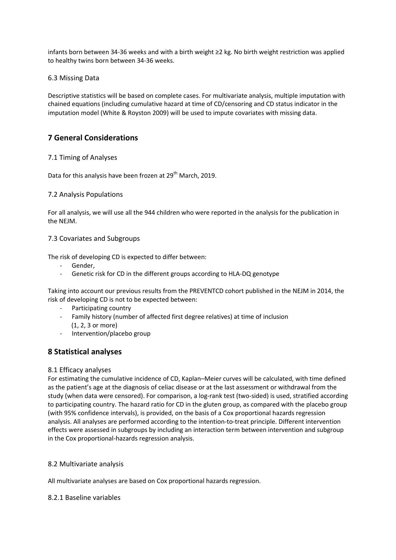infants born between 34-36 weeks and with a birth weight ≥2 kg. No birth weight restriction was applied to healthy twins born between 34-36 weeks.

### 6.3 Missing Data

Descriptive statistics will be based on complete cases. For multivariate analysis, multiple imputation with chained equations (including cumulative hazard at time of CD/censoring and CD status indicator in the imputation model (White & Royston 2009) will be used to impute covariates with missing data.

# **7 General Considerations**

### 7.1 Timing of Analyses

Data for this analysis have been frozen at 29<sup>th</sup> March, 2019.

### 7.2 Analysis Populations

For all analysis, we will use all the 944 children who were reported in the analysis for the publication in the NEJM.

### 7.3 Covariates and Subgroups

The risk of developing CD is expected to differ between:

- Gender,
- Genetic risk for CD in the different groups according to HLA-DQ genotype

Taking into account our previous results from the PREVENTCD cohort published in the NEJM in 2014, the risk of developing CD is not to be expected between:

- Participating country
- Family history (number of affected first degree relatives) at time of inclusion (1, 2, 3 or more)
- Intervention/placebo group

## **8 Statistical analyses**

### 8.1 Efficacy analyses

For estimating the cumulative incidence of CD, Kaplan–Meier curves will be calculated, with time defined as the patient's age at the diagnosis of celiac disease or at the last assessment or withdrawal from the study (when data were censored). For comparison, a log-rank test (two-sided) is used, stratified according to participating country. The hazard ratio for CD in the gluten group, as compared with the placebo group (with 95% confidence intervals), is provided, on the basis of a Cox proportional hazards regression analysis. All analyses are performed according to the intention-to-treat principle. Different intervention effects were assessed in subgroups by including an interaction term between intervention and subgroup in the Cox proportional-hazards regression analysis.

### 8.2 Multivariate analysis

All multivariate analyses are based on Cox proportional hazards regression.

### 8.2.1 Baseline variables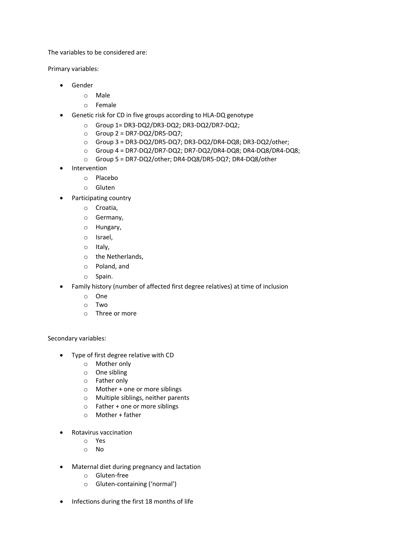The variables to be considered are:

Primary variables:

- Gender
	- o Male
	- o Female
- Genetic risk for CD in five groups according to HLA-DQ genotype
	- o Group 1= DR3-DQ2/DR3-DQ2; DR3-DQ2/DR7-DQ2;
	- $\circ$  Group 2 = DR7-DQ2/DR5-DQ7;
	- o Group 3 = DR3-DQ2/DR5-DQ7; DR3-DQ2/DR4-DQ8; DR3-DQ2/other;
	- o Group 4 = DR7-DQ2/DR7-DQ2; DR7-DQ2/DR4-DQ8; DR4-DQ8/DR4-DQ8;
	- o Group 5 = DR7-DQ2/other; DR4-DQ8/DR5-DQ7; DR4-DQ8/other
- **Intervention** 
	- o Placebo
	- o Gluten
- Participating country
	- o Croatia,
	- o Germany,
	- o Hungary,
	- o Israel,
	- o Italy,
	- o the Netherlands,
	- o Poland, and
	- o Spain.
- Family history (number of affected first degree relatives) at time of inclusion
	- o One
	- o Two
	- o Three or more

Secondary variables:

- Type of first degree relative with CD
	- o Mother only
	- o One sibling
	- o Father only
	- o Mother + one or more siblings
	- o Multiple siblings, neither parents
	- o Father + one or more siblings
	- $\circ$  Mother + father
- Rotavirus vaccination
	- o Yes
	- o No
- Maternal diet during pregnancy and lactation
	- o Gluten-free
	- o Gluten-containing ('normal')
- Infections during the first 18 months of life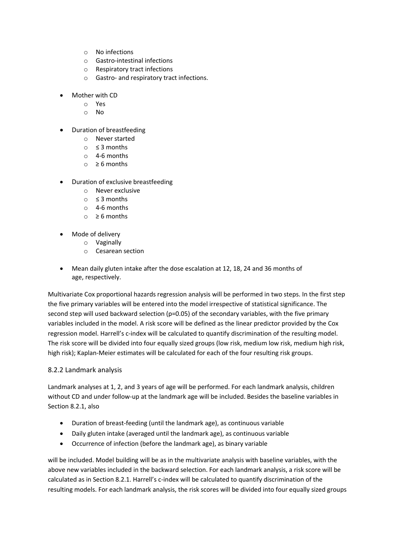- o No infections
- o Gastro-intestinal infections
- o Respiratory tract infections
- o Gastro- and respiratory tract infections.
- Mother with CD
	- o Yes
	- o No
- Duration of breastfeeding
	- o Never started
	- $\circ$  ≤ 3 months
	- o 4-6 months
	- o ≥ 6 months
- Duration of exclusive breastfeeding
	- o Never exclusive
	- o ≤ 3 months
	- o 4-6 months
	- $\circ$  ≥ 6 months
	- Mode of delivery
		- o Vaginally
			- o Cesarean section
- Mean daily gluten intake after the dose escalation at 12, 18, 24 and 36 months of age, respectively.

Multivariate Cox proportional hazards regression analysis will be performed in two steps. In the first step the five primary variables will be entered into the model irrespective of statistical significance. The second step will used backward selection (p=0.05) of the secondary variables, with the five primary variables included in the model. A risk score will be defined as the linear predictor provided by the Cox regression model. Harrell's c-index will be calculated to quantify discrimination of the resulting model. The risk score will be divided into four equally sized groups (low risk, medium low risk, medium high risk, high risk); Kaplan-Meier estimates will be calculated for each of the four resulting risk groups.

## 8.2.2 Landmark analysis

Landmark analyses at 1, 2, and 3 years of age will be performed. For each landmark analysis, children without CD and under follow-up at the landmark age will be included. Besides the baseline variables in Section 8.2.1, also

- Duration of breast-feeding (until the landmark age), as continuous variable
- Daily gluten intake (averaged until the landmark age), as continuous variable
- Occurrence of infection (before the landmark age), as binary variable

will be included. Model building will be as in the multivariate analysis with baseline variables, with the above new variables included in the backward selection. For each landmark analysis, a risk score will be calculated as in Section 8.2.1. Harrell's c-index will be calculated to quantify discrimination of the resulting models. For each landmark analysis, the risk scores will be divided into four equally sized groups